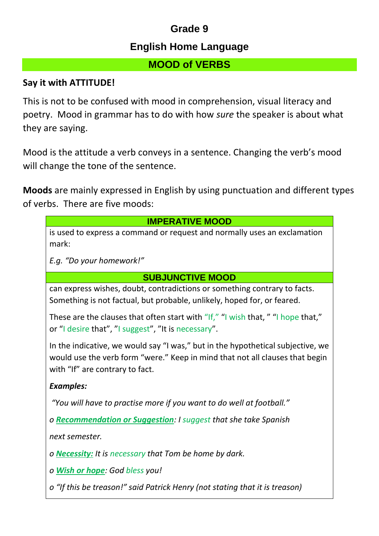## **Grade 9**

## **English Home Language**

## **MOOD of VERBS**

### **Say it with ATTITUDE!**

This is not to be confused with mood in comprehension, visual literacy and poetry. Mood in grammar has to do with how *sure* the speaker is about what they are saying.

Mood is the attitude a verb conveys in a sentence. Changing the verb's mood will change the tone of the sentence.

**Moods** are mainly expressed in English by using punctuation and different types of verbs. There are five moods:

| <b>IMPERATIVE MOOD</b>                                                                                                                                                                             |
|----------------------------------------------------------------------------------------------------------------------------------------------------------------------------------------------------|
| is used to express a command or request and normally uses an exclamation<br>mark:                                                                                                                  |
| E.g. "Do your homework!"                                                                                                                                                                           |
| <b>SUBJUNCTIVE MOOD</b>                                                                                                                                                                            |
| can express wishes, doubt, contradictions or something contrary to facts.<br>Something is not factual, but probable, unlikely, hoped for, or feared.                                               |
| These are the clauses that often start with "If," "I wish that, " "I hope that,"<br>or "I desire that", "I suggest", "It is necessary".                                                            |
| In the indicative, we would say "I was," but in the hypothetical subjective, we<br>would use the verb form "were." Keep in mind that not all clauses that begin<br>with "If" are contrary to fact. |
| <b>Examples:</b>                                                                                                                                                                                   |
| "You will have to practise more if you want to do well at football."                                                                                                                               |
| o Recommendation or Suggestion: I suggest that she take Spanish                                                                                                                                    |
| next semester.                                                                                                                                                                                     |
| o <b>Necessity:</b> It is necessary that Tom be home by dark.                                                                                                                                      |
| o Wish or hope: God bless you!                                                                                                                                                                     |
| o "If this be treason!" said Patrick Henry (not stating that it is treason)                                                                                                                        |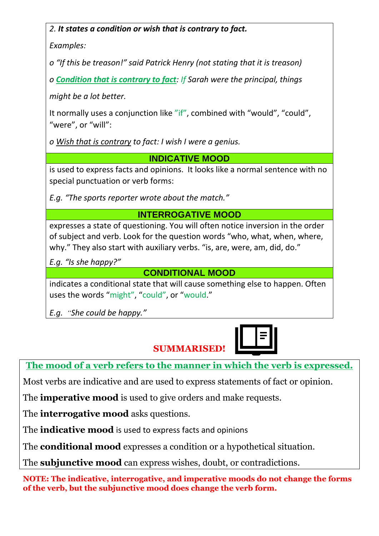#### *2. It states a condition or wish that is contrary to fact.*

*Examples:*

*o "If this be treason!" said Patrick Henry (not stating that it is treason)*

*o Condition that is contrary to fact: If Sarah were the principal, things*

*might be a lot better.*

It normally uses a conjunction like "if", combined with "would", "could", "were", or "will":

*o Wish that is contrary to fact: I wish I were a genius.*

**INDICATIVE MOOD**

is used to express facts and opinions. It looks like a normal sentence with no special punctuation or verb forms:

*E.g. "The sports reporter wrote about the match."*

## **INTERROGATIVE MOOD**

expresses a state of questioning. You will often notice inversion in the order of subject and verb. Look for the question words "who, what, when, where, why." They also start with auxiliary verbs. "is, are, were, am, did, do."

*E.g. "Is she happy?"*

**CONDITIONAL MOOD**

indicates a conditional state that will cause something else to happen. Often uses the words "might", "could", or "would."

*E.g. "She could be happy."*

## **SUMMARISED!**

**The mood of a verb refers to the manner in which the verb is expressed.**

Most verbs are indicative and are used to express statements of fact or opinion.

The **imperative mood** is used to give orders and make requests.

The **interrogative mood** asks questions.

The **indicative mood** is used to express facts and opinions

The **conditional mood** expresses a condition or a hypothetical situation.

The **subjunctive mood** can express wishes, doubt, or contradictions.

**NOTE: The indicative, interrogative, and imperative moods do not change the forms of the verb, but the subjunctive mood does change the verb form.**